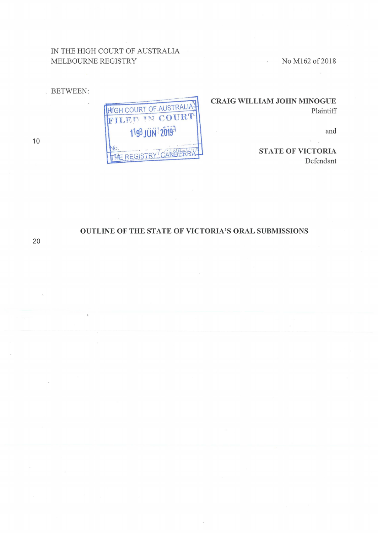## IN THE HIGH COURT OF AUSTRALIA MELBOURNE REGISTRY

No M162 of 2018

**BETWEEN:** 

HIGH COURT OF AUSTRALIA 1199 JUN 20197 THE REGISTRY CANBERRA

## **CRAIG WILLIAM JOHN MINOGUE** Plaintiff

 $\mathbb{R}^2$ 

and

**STATE OF VICTORIA** Defendant

## OUTLINE OF THE STATE OF VICTORIA'S ORAL SUBMISSIONS

10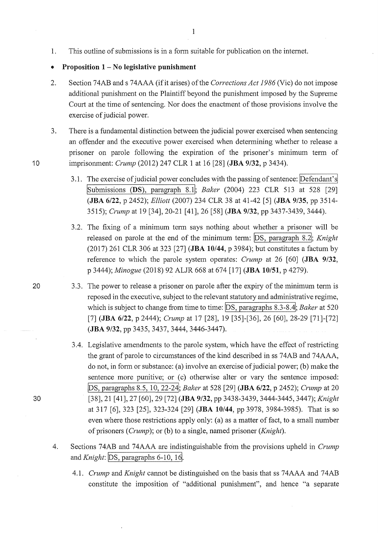1. This outline of submissions is in a form suitable for publication on the internet.

## • **Proposition 1-No legislative punishment**

- 2. Section 74AB ands 74AAA (if it arises) of the *Corrections Act 1986* (Vic) do not impose additional punishment on the Plaintiff beyond the punishment imposed by the Supreme Court at the time of sentencing. Nor does the enactment of those provisions involve the exercise of judicial power.
- 3. There is a fundamental distinction between the judicial power exercised when sentencing an offender and the executive power exercised when detennining whether to release a prisoner on parole following the expiration of the prisoner's minimum term of 10 imprisonment: *Crump* (2012) 247 CLR 1 at 16 [28] **(JBA 9/32,** p 3434).
	- 3.1. The exercise of judicial power concludes with the passing of sentence: Defendant's !submissions **(DS),** paragraph 8.11; *Baker* (2004) 223 CLR 513 at 528 [29] **(JBA 6/22,** p 2452); *Elliott* (2007) 234 CLR 38 at 41-42 [5] **(JBA 9/35,** pp 3514- 3515); *Crump* at 19 [34], 20-21 [41], 26 [58] **(JBA 9/32,** pp 3437-3439, 3444).
	- 3.2. The fixing of a minimum term says nothing about whether a prisoner will be released on parole at the end of the minimum term: DS, paragraph 8.2<sup>1</sup>; *Knight* (2017) 261 CLR 306 at 323 [27] **(JBA 10/44,** p 3984); but constitutes a factum by reference to which the parole system operates: *Crump* at 26 [60] **(JBA 9/32,**  p 3444); *Minogue* (2018) 92 ALJR 668 at 674 [17] **(JBA 10/51,** p 4279).
- 20 3.3. The power to release a prisoner on parole after the expiry of the minimum term is reposed in the executive, subject to the relevant statutory and administrative regime, which is subject to change from time to time: DS, paragraphs 8.3-8.4; *Baker* at 520 [7] **(JBA 6/22,** p 2444); *Crump* at 17 [28], 19 [35]-[36], 26 [60], 28-29 [71]-[72] **(JBA 9/32,** pp 3435, 3437, 3444, 3446-3447).
	- 3.4. Legislative amendments to the parole system, which have the effect of restricting the grant of parole to circumstances of the kind described in ss 74AB and 74AAA, do not, in form or substance: (a) involve an exercise of judicial power; (b) make the sentence more punitive; or (c) otherwise alter or vary the sentence imposed: IDs, paragraphs 8.5, 10, 22-241; *Baker* at 528 [29] **(JBA 6/22,** p 2452); *Crump* at 20 [38], 21 [41], 27 [60], 29 [72] **(JBA 9/32,** pp 3438-3439, 3444-3445, 3447); *Knight*  at 317 [6], 323 [25], 323-324 [29] **(JBA 10/44,** pp 3978, 3984-3985). That is so even where those restrictions apply only: (a) as a matter of fact, to a small number of prisoners *(Crump);* or (b) to a single, named prisoner *(Knight).*
	- 4. Sections 74AB and 74AAA are indistinguishable from the provisions upheld in *Crump*  and *Knight*: DS, paragraphs 6-10, 16.
		- 4.1. *Crump* and *Knight* cannot be distinguished on the basis that ss 74AAA and 74AB constitute the imposition of "additional punishment", and hence "a separate

30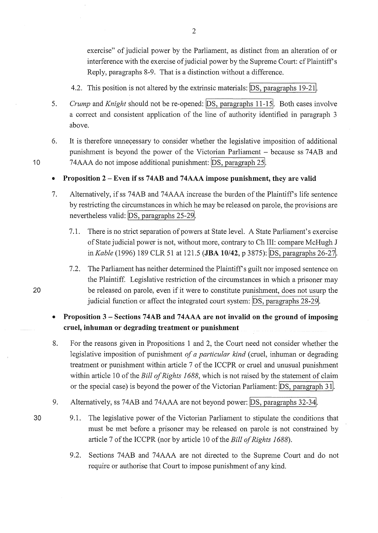exercise" of judicial power by the Parliament, as distinct from an alteration of or interference with the exercise of judicial power by the Supreme Court: cf Plaintiff's Reply, paragraphs 8-9. That is a distinction without a difference.

- 4.2. This position is not altered by the extrinsic materials: DS, paragraphs 19-21.
- 5. *Crump* and *Knight* should not be re-opened: **DS**, paragraphs 11-15. Both cases involve a correct and consistent application of the line of authority identified in paragraph 3 above.
- 6. It is therefore unnecessary to consider whether the legislative imposition of additional punishment is beyond the power of the Victorian Parliament - because ss 74AB and 74AAA do not impose additional punishment: DS, paragraph 25.

• **Proposition 2-Even if ss 74AB and 74AAA impose punishment, they are valid** 

- 7. Alternatively, if ss 74AB and 74AAA increase the burden of the Plaintiffs life sentence by restricting the circumstances in which he may be released on parole, the provisions are nevertheless valid: DS, paragraphs 25-29.
	- 7 .1. There is no strict separation of powers at State level. A State Parliament's exercise of State judicial power is not, without more, contrary to Ch III: compare McHugh J *inKable* (1996) 189 CLR 51 at 121.5 **(JBA 10/42,** p 3875): IDs, paragraphs 26-271.
	- 7.2. The Parliament has neither determined the Plaintiff's guilt nor imposed sentence on the Plaintiff. Legislative restriction of the circumstances in which a prisoner may be released on parole, even if it were to constitute punishment, does not usurp the judicial function or affect the integrated court system: DS, paragraphs 28-29.
- **Proposition 3 - Sections 74AB and 74AAA are not invalid on the ground of imposing cruel, inhuman or degrading treatment or punishment**
- 8. For the reasons given in Propositions 1 and 2, the Court need not consider whether the legislative imposition of punishment *of a particular kind* (cruel, inhuman or degrading treatment or punishment within article 7 of the ICCPR or cruel and unusual punishment within article 10 of the *Bill of Rights 1688,* which is not raised by the statement of claim or the special case) is beyond the power of the Victorian Parliament: JDS, paragraph 311.
- 9. Alternatively, ss 74AB and 74AAA are not beyond power: DS, paragraphs 32-34.
- 30 9 .1. The legislative power of the Victorian Parliament to stipulate the conditions that must be met before a prisoner may be released on parole is not constrained by article 7 of the ICCPR (nor by article 10 of the *Bill of Rights 1688*).
	- 9.2. Sections 74AB and 74AAA are not directed to the Supreme Court and do not require or authorise that Court to impose punishment of any kind.

10

20